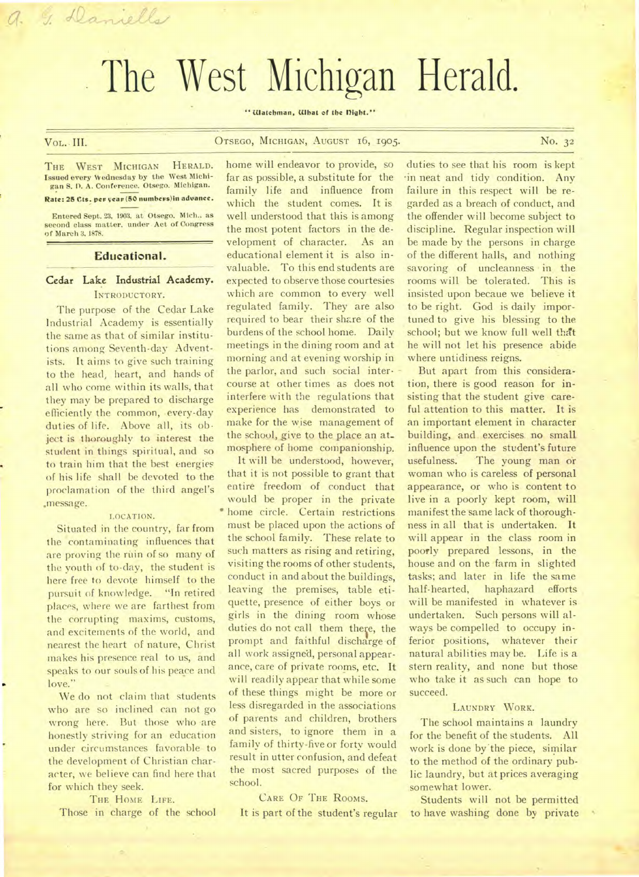# The West Michigan Herald.

"Watchman, **What** of the night."

a. J. Daniella

# VoL. **III.** OTSEGO, **MICHIGAN, AUGUST 16, 1905. No. 32**

**THE WEST MICHIGAN HERALD. Issued every Wednesday by the West Michi-gan S. 0. A. Conference. Otsego. Michigan.** 

Rate: 25 Cts. per year (50 numbers) in advance.

**Entered Sept. 23, 1903. at Otsego. Mich.. as second class matter, under Act of Congress of March 3. 1878.** 

#### **Educational.**

# **Cedar Lake Industrial Academy. INTRODUCTORY.**

**The purpose of the Cedar Lake Industrial Academy is essentially the same as that of similar institutions among Seventh-day Adventists. It aims to give such training to the head, heart, and hands of all who come within its walls, that they may be prepared to discharge efficiently the common, every-day**  duties of life. Above all, its ob**ject is thoroughly to interest the student in things spiritual, and so to train him that the best energies of his life shall be devoted to the proclamation of the third angel's .message.** 

#### **LOCATION.**

**Situated in the country, far from the contaminating influences that are proving the ruin of so many of the youth of to-day, the student is here free to devote himself to the pursuit of knowledge. "In retired places, where we are farthest from the corrupting maxims, customs, and excitements of the world, and nearest the heart of nature, Christ makes his presence real to us, and speaks to our souls of his peace and**  love."

**We do not claim that students who are so inclined can not go wrong here. But those who are honestly striving for an education under circumstances favorable to the development of Christian character, we believe can find here that for which they seek.** 

**THE HOME LIFE.** 

**Those in charge of the school** 

**home will endeavor to provide, so far as possible, a substitute for the family life and influence from which the student comes. It is well understood that this is among the most potent factors in the development of character. As an educational element it is also invaluable. To this end students are expected to observe those courtesies which are common to every well regulated family. They are also required to bear their share of the burdens of the school home. Daily meetings in the dining room and at morning and at evening worship in the parlor, and such social inter- course at other times as does not interfere with the regulations that experience has demonstrated to make for the wise management of**  the school, give to the place an at**mosphere of home companionship.** 

**It will be understood, however, that it is not possible to grant that entire freedom of conduct that would be proper in the private • home circle. Certain restrictions must be placed upon the actions of the school family. These relate to such matters as rising and retiring, visiting the rooms of other students, conduct in and about the buildings, leaving the premises, table etiquette, presence of either boys or girls in the dining room whose**  duties do not call them there, the prompt and faithful discharge of **all work assigned, personal appearance, care of private rooms, etc. It will readily appear that while some of these things might be more or less disregarded in the associations of parents and children, brothers and sisters, to ignore them in a family of thirty-five or forty would result in utter confusion, and defeat the most sacred purposes of the school.** 

## **CARE OF THE ROOMS.**

**It is part of the student's regular** 

**duties to see that his room is kept 'in neat and tidy condition. Any failure in this respect will be regarded as a breach of conduct, and the offender will become subject to discipline. Regular inspection will be made by the persons in charge of the different halls, and nothing**  savoring of uncleanness in the **rooms will be tolerated. This is insisted upon becaue we believe it to be right. God is daily importuned to give his blessing to the school; but we know full well that he will not let his presence abide where untidiness reigns.** 

**But apart from this consideration, there is good reason for insisting that the student give careful attention to this matter. It is an important element in character building, and exercises no small influence upon the student's future usefulness. The young man or woman who is careless of personal appearance, or who is content to live in a poorly kept room, will manifest the same lack of thoroughness in all that is undertaken. It will appear in the class room in poorly prepared lessons, in the house and on the farm in slighted**  tasks; and later in life the same **half-hearted, haphazard efforts will be manifested in whatever is undertaken. Such persons will always be compelled to occupy inferior positions, whatever their natural abilities may be. Life is a stern reality, and none but those who take it as such can hope to succeed.** 

#### **LAUNDRY WORK.**

**The school maintains a laundry for the benefit of the students. All work is done by.the piece, similar to the method of the ordinary public laundry, but at prices averaging somewhat lower.** 

**Students will not be permitted to have washing done by private**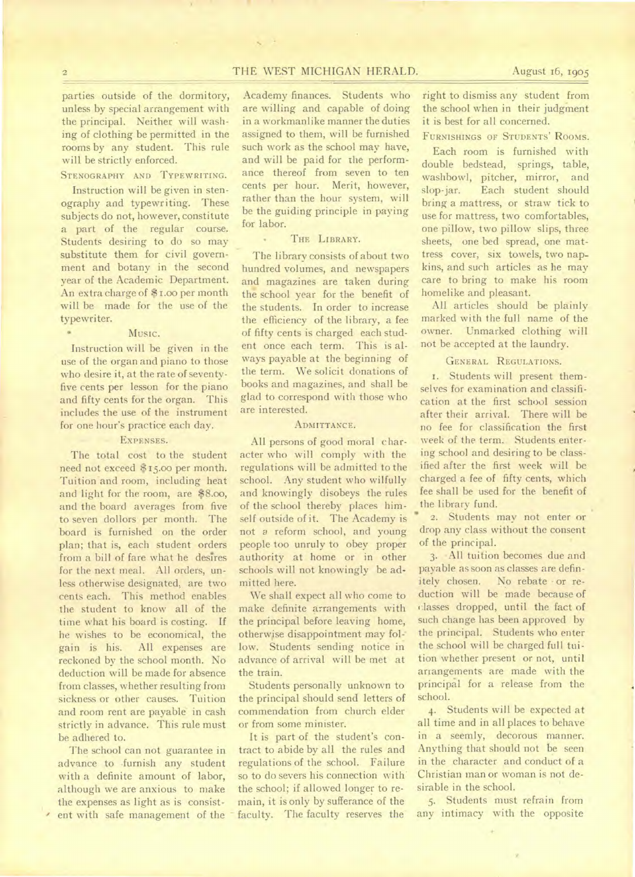## 2 THE WEST MICHIGAN HERALD. August 16, 1905

parties outside of the dormitory, unless by special arrangement with the principal. Neither will washing of clothing be permitted in the rooms by any student. This rule will be strictly enforced.

STENOGRAPHY AND TYPEWRITING.

Instruction will be given in stenography and typewriting. These subjects do not, however, constitute a part of the regular course. Students desiring to do so may substitute them for civil government and botany in the second year of the Academic Department. An extra charge of \$1.00 per month will be made for the use of the typewriter.

#### Music.

Instruction will be given in the use of the organ and piano to those who desire it, at the rate of seventyfive cents per lesson for the piano and fifty cents for the organ. This includes the use of the instrument for one hour's practice each day.

#### EXPENSES.

The total cost to the student need not exceed \$15.00 per month. Tuition and room, including heat and light for the room, are \$8.00, and the board averages from five to seven dollors per month. The board is furnished on the order plan; that is, each student orders from a bill of fare what he desires for the next meal. All orders, unless otherwise designated, are two cents each. This method enables the student to know all of the time what his board is costing. If he wishes to be economical, the gain is his. All expenses are reckoned by the school month. No deduction will be made for absence from classes, whether resulting from sickness or other causes. Tuition and room rent are payable in cash strictly in advance. This rule must be adhered to.

The school can not guarantee in advance to furnish any student with a definite amount of labor, although we are anxious to make the expenses as light as is consistent with safe management of the

Academy finances. Students who are willing and capable of doing in a workmanlike manner the duties assigned to them, will be furnished such work as the school may have, and will be paid for the performance thereof from seven to ten cents per hour. Merit, however, rather than the hour system, will be the guiding principle in paying for labor.

#### THE LIBRARY.

The library consists of about two hundred volumes, and newspapers and magazines are taken during the school year for the benefit of the students. In order to increase the efficiency of the library, a fee of fifty cents is charged each student once each term. This is always payable at the beginning of the term. We solicit donations of books and magazines, and shall be glad to correspond with those who are interested.

#### ADMITTANCE.

All persons of good moral character who will comply with the regulations will be admitted to the school. Any student who wilfully and knowingly disobeys the rules of the school thereby places himself outside of it. The Academy is not *a* reform school, and young people too unruly to obey proper authority at home or in other schools will not knowingly be admitted here.

We shall expect all who come to make definite arrangements with the principal before leaving home, otherwise disappointment may fol-: low. Students sending notice in advance of arrival will be met at the train.

Students personally unknown to the principal should send letters of commendation from church elder or from some minister.

It is part of the student's contract to abide by all the rules and regulations of the school. Failure so to do severs his connection with the school; if allowed longer to remain, it is only by sufferance of the faculty. The faculty reserves the

right to dismiss any student from the school when in their judgment it is best for all concerned.

FURNISHINGS OF STUDENTS' ROOMS.

Each room is furnished with double bedstead, springs, table, washbowl, pitcher, mirror, and slop-jar. Each student should bring a mattress, or straw tick to use for mattress, two comfortables, one pillow, two pillow slips, three sheets, one bed spread, one mattress cover, six towels, two napkins, and such articles as he may care to bring to make his room homelike and pleasant.

All articles should be plainly marked with the full name of the owner. Unmarked clothing will not be accepted at the laundry.

### GENERAL REGULATIONS.

1. Students will present themselves for examination and classification at the first school session after their arrival. There will be no fee for classification the first week of the term. Students entering school and desiring to be classified after the first week will be charged a fee of fifty cents, which fee shall be used for the benefit of the library fund.

2. Students may not enter or drop any class without the consent of the principal.

3. All tuition becomes due and payable as soon as classes are definitely chosen. No rebate • or reduction will be made because of classes dropped, until the fact of such change has been approved by the principal. Students who enter the school will be charged full tuition whether present or not, until arrangements are made with the principal for a release from the school.

4. Students will be expected at all time and in all places to behave in a seemly, decorous manner. Anything that should not be seen in the character and conduct of a Christian man or woman is not desirable in the school.

5. Students must refrain from any intimacy with the opposite

 $\alpha$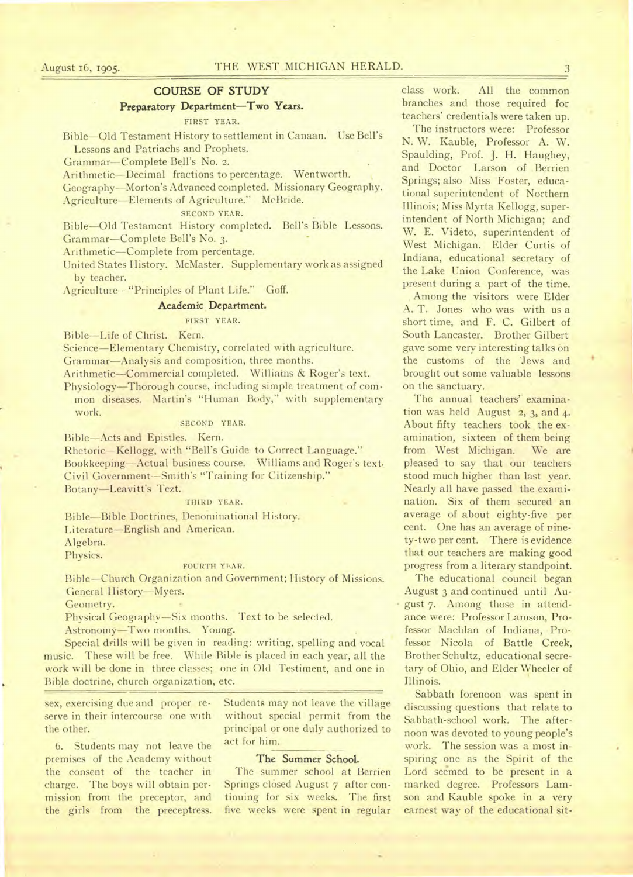# COURSE OF STUDY

# Preparatory Department—Two Years.

FIRST YEAR.

Bible—Old Testament History to settlement in Canaan. Use Bell's Lessons and Patriachs and Prophets.

Grammar—Complete Bell's No. 2.

Arithmetic-Decimal fractions to percentage. Wentworth.

Geography—Morton's Advanced completed. Missionary Geography.

Agriculture—Elements of Agriculture." McBride.

SECOND YEAR.

Bible—Old Testament History completed. Bell's Bible Lessons. Grammar—Complete Bell's No. 3.

Arithmetic—Complete from percentage.

United States History. McMaster. Supplementary work as assigned by teacher.

Agriculture-"Principles of Plant Life." Goff.

#### Academic Department.

#### FIRST YEAR.

Bible—Life of Christ. Kern.

Science—Elementary Chemistry, correlated with agriculture. Grammar—Analysis and composition, three months.

Arithmetic—Commercial completed. Williams & Roger's text.

Physiology—Thorough course, including simple treatment of common diseases. Martin's "Human Body," with supplementary work.

## SECOND YEAR.

Bible--Acts and Epistles. Kern.

Rhetoric—Kellogg, with "Bell's Guide to Correct Language." Bookkeeping—Actual business course. Williams and Roger's text. Civil Government--Smith's "Training for Citizenship." Botany—Leavitt's Tezt.

#### THIRD YEAR.

Bible—Bible Doctrines, Denominational History. Literature—English and American.

Algebra.

Physics.

#### FOURTH YEAR.

Bible—Church Organization and Government; History of Missions. General History—Myers.

Geometry.

Physical Geography—Six months. Text to be selected.

Astronomy—Two months. Young.

Special drills will be given in reading: writing, spelling and vocal music. These will be free. While Bible is placed in each year, all the work will be done in three classes; one in Old Testiment, and one in Bible doctrine, church organization, etc.

sex, exercising due and proper reserve in their intercourse one with the other.

6. Students may not leave the premises of the Academy without the consent of the teacher in charge. The boys will obtain permission from the preceptor, and the girls from the preceptress. Students may not leave the village without special permit from the principal or one duly authorized to act for him.

#### **The Summer School.**

The summer school at Berrien Springs closed August 7 after continuing for six weeks. The first five weeks were spent in regular

class work. All the common branches and those required for teachers' credentials were taken up.

The instructors were: Professor N. W. Kauble, Professor A. W. Spaulding, Prof. J. H. Haughey, and Doctor Larson of Berrien Springs; also Miss Foster, educational superintendent of Northern Illinois; Miss Myrta Kellogg, superintendent of North Michigan; and W. E. Videto, superintendent of West Michigan. Elder Curtis of Indiana, educational secretary of the Lake Union Conference, was present during a part of the time.

Among the visitors were Elder A. T. Jones who was with us a short time, and F. C. Gilbert of South Lancaster. Brother Gilbert gave some very interesting talks on the customs of the 'Jews and brought out some valuable lessons on the sanctuary.

The annual teachers' examination was held August 2, 3, and 4. About fifty teachers took the examination, sixteen of them being from West Michigan. We are pleased to say that our teachers stood much higher than last year. Nearly all have passed the examination. Six, of them secured an average of about eighty-five per cent. One has an average of ninety-two per cent. There is evidence that our teachers are making good progress from a literary standpoint.

The educational council began August 3 and continued until August 7. Among those in attendance were: Professor Lamson, Professor Machlan of Indiana, Professor Nicola of Battle Creek, Brother Schultz, educational secretary of Ohio, and Elder Wheeler of Illinois.

Sabbath forenoon was spent in discussing questions that relate to Sabbath-school work. The afternoon was devoted to young people's work. The session was a most inspiring one as the Spirit of the Lord seemed to be present in a marked degree. Professors Lamson and Kauble spoke in a very earnest way of the educational sit-